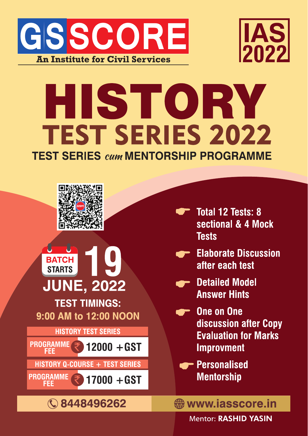



# HISTORY **TEST SERIES 2022 TEST SERIES cum MENTORSHIP PROGRAMME**



**Mentor: RASHID YASIN**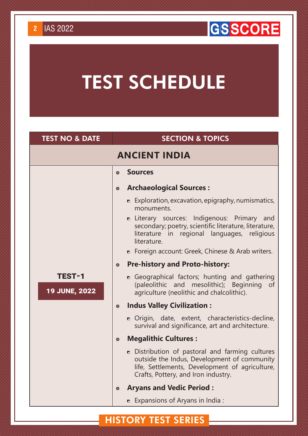## **GSSCORE**

## TEST SCHEDULE

| <b>TEST NO &amp; DATE</b>             |           | <b>SECTION &amp; TOPICS</b>                                                                                                                                                             |
|---------------------------------------|-----------|-----------------------------------------------------------------------------------------------------------------------------------------------------------------------------------------|
|                                       |           | <b>ANCIENT INDIA</b>                                                                                                                                                                    |
|                                       | $\odot$   | <b>Sources</b>                                                                                                                                                                          |
|                                       | $\odot$   | <b>Archaeological Sources:</b>                                                                                                                                                          |
|                                       |           | $\bullet$ Exploration, excavation, epigraphy, numismatics,<br>monuments.                                                                                                                |
|                                       |           | <b>n</b> Literary sources: Indigenous: Primary and<br>secondary; poetry, scientific literature, literature,<br>literature in regional languages, religious<br>literature.               |
|                                       |           | • Foreign account: Greek, Chinese & Arab writers.                                                                                                                                       |
|                                       | $\odot$   | <b>Pre-history and Proto-history:</b>                                                                                                                                                   |
| <b>TEST-1</b><br><b>19 JUNE, 2022</b> |           | • Geographical factors; hunting and gathering<br>(paleolithic and mesolithic); Beginning of<br>agriculture (neolithic and chalcolithic).                                                |
|                                       | $\bullet$ | <b>Indus Valley Civilization:</b>                                                                                                                                                       |
|                                       |           | • Origin, date, extent, characteristics-decline,<br>survival and significance, art and architecture.                                                                                    |
|                                       | $\odot$   | <b>Megalithic Cultures:</b>                                                                                                                                                             |
|                                       |           | • Distribution of pastoral and farming cultures<br>outside the Indus, Development of community<br>life, Settlements, Development of agriculture,<br>Crafts, Pottery, and Iron industry. |
|                                       | $\odot$   | <b>Aryans and Vedic Period:</b>                                                                                                                                                         |
|                                       |           | <b>Expansions of Aryans in India:</b>                                                                                                                                                   |

#### HISTORY test series

## **2** IAS 2022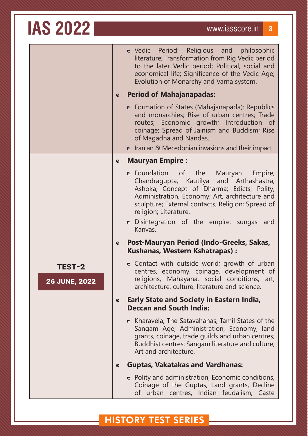|                      | • Vedic Period: Religious and philosophic<br>literature; Transformation from Rig Vedic period<br>to the later Vedic period; Political, social and<br>economical life; Significance of the Vedic Age;<br>Evolution of Monarchy and Varna system.                                                                                                                                                                                                                                                                                        |
|----------------------|----------------------------------------------------------------------------------------------------------------------------------------------------------------------------------------------------------------------------------------------------------------------------------------------------------------------------------------------------------------------------------------------------------------------------------------------------------------------------------------------------------------------------------------|
|                      | <b>Period of Mahajanapadas:</b><br>$\odot$                                                                                                                                                                                                                                                                                                                                                                                                                                                                                             |
|                      | • Formation of States (Mahajanapada): Republics<br>and monarchies; Rise of urban centres; Trade<br>routes; Economic growth; Introduction of<br>coinage; Spread of Jainism and Buddism; Rise<br>of Magadha and Nandas.                                                                                                                                                                                                                                                                                                                  |
|                      | $\bullet$ Iranian & Mecedonian invasions and their impact.                                                                                                                                                                                                                                                                                                                                                                                                                                                                             |
| TEST-2               | <b>Mauryan Empire:</b><br>$\odot$<br>n Foundation of the<br>Mauryan Empire,<br>Chandragupta, Kautilya and Arthashastra;<br>Ashoka; Concept of Dharma; Edicts; Polity,<br>Administration, Economy; Art, architecture and<br>sculpture; External contacts; Religion; Spread of<br>religion; Literature.<br><b>n</b> Disintegration of the empire; sungas<br>and<br>Kanvas.<br>Post-Mauryan Period (Indo-Greeks, Sakas,<br>$\boldsymbol{\odot}$<br><b>Kushanas, Western Kshatrapas):</b><br>• Contact with outside world; growth of urban |
| <b>26 JUNE, 2022</b> | centres, economy, coinage, development of<br>religions, Mahayana, social conditions, art,<br>architecture, culture, literature and science.                                                                                                                                                                                                                                                                                                                                                                                            |
|                      | <b>Early State and Society in Eastern India,</b><br>$\boldsymbol{\odot}$<br><b>Deccan and South India:</b>                                                                                                                                                                                                                                                                                                                                                                                                                             |
|                      | <b>n</b> Kharavela, The Satavahanas, Tamil States of the<br>Sangam Age; Administration, Economy, land<br>grants, coinage, trade guilds and urban centres;<br>Buddhist centres; Sangam literature and culture;<br>Art and architecture.                                                                                                                                                                                                                                                                                                 |
|                      | <b>Guptas, Vakatakas and Vardhanas:</b><br>$\odot$                                                                                                                                                                                                                                                                                                                                                                                                                                                                                     |
|                      | • Polity and administration, Economic conditions,<br>Coinage of the Guptas, Land grants, Decline<br>of urban centres, Indian feudalism, Caste                                                                                                                                                                                                                                                                                                                                                                                          |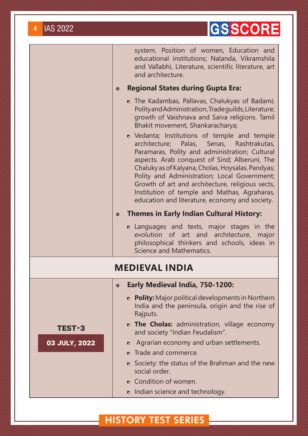## GSSCORE

|               |         | system, Position of women, Education and<br>educational institutions; Nalanda, Vikramshila<br>and Vallabhi, Literature, scientific literature, art<br>and architecture.                                                                                                                                                                                                                                                                                 |
|---------------|---------|---------------------------------------------------------------------------------------------------------------------------------------------------------------------------------------------------------------------------------------------------------------------------------------------------------------------------------------------------------------------------------------------------------------------------------------------------------|
|               | $\odot$ | <b>Regional States during Gupta Era:</b>                                                                                                                                                                                                                                                                                                                                                                                                                |
|               |         | n The Kadambas, Pallavas, Chalukyas of Badami;<br>Polity and Administration, Trade guilds, Literature;<br>growth of Vaishnava and Saiva religions. Tamil<br>Bhakit movement, Shankaracharya;                                                                                                                                                                                                                                                            |
|               |         | • Vedanta; Institutions of temple and temple<br>architecture; Palas, Senas, Rashtrakutas,<br>Paramaras, Polity and administration; Cultural<br>aspects. Arab conquest of Sind; Alberuni, The<br>Chaluky as of Kalyana, Cholas, Hoysalas, Pandyas;<br>Polity and Administration; Local Government;<br>Growth of art and architecture, religious sects,<br>Institution of temple and Mathas, Agraharas,<br>education and literature, economy and society. |
|               | $\odot$ | <b>Themes in Early Indian Cultural History:</b>                                                                                                                                                                                                                                                                                                                                                                                                         |
|               |         | <b>•</b> Languages and texts, major stages in the<br>evolution of art and architecture, major<br>philosophical thinkers and schools, ideas in<br>Science and Mathematics.                                                                                                                                                                                                                                                                               |
|               |         | <b>MEDIEVAL INDIA</b>                                                                                                                                                                                                                                                                                                                                                                                                                                   |
|               | $\odot$ | Early Medieval India, 750-1200:                                                                                                                                                                                                                                                                                                                                                                                                                         |
|               |         | <b>D</b> Polity: Major political developments in Northern<br>India and the peninsula, origin and the rise of<br>Rajputs.                                                                                                                                                                                                                                                                                                                                |
| <b>TEST-3</b> |         | <b>n</b> The Cholas: administration, village economy<br>and society "Indian Feudalism".                                                                                                                                                                                                                                                                                                                                                                 |
| 03 JULY, 2022 | O       | Agrarian economy and urban settlements.                                                                                                                                                                                                                                                                                                                                                                                                                 |
|               |         | Trade and commerce.                                                                                                                                                                                                                                                                                                                                                                                                                                     |
|               |         | <b>•</b> Society: the status of the Brahman and the new<br>social order.                                                                                                                                                                                                                                                                                                                                                                                |
|               |         | • Condition of women.                                                                                                                                                                                                                                                                                                                                                                                                                                   |
|               |         | <b>n</b> Indian science and technology.                                                                                                                                                                                                                                                                                                                                                                                                                 |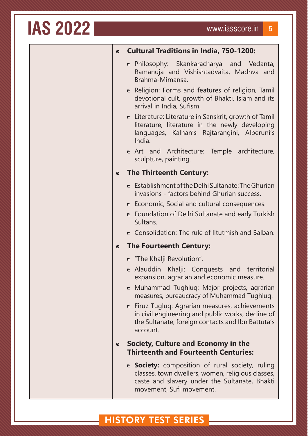| $\odot$              | <b>Cultural Traditions in India, 750-1200:</b>                                                                                                                                                                                                                                                                                                                                                        |
|----------------------|-------------------------------------------------------------------------------------------------------------------------------------------------------------------------------------------------------------------------------------------------------------------------------------------------------------------------------------------------------------------------------------------------------|
|                      | <b>n</b> Philosophy: Skankaracharya and Vedanta,<br>Ramanuja and Vishishtadvaita, Madhva and<br>Brahma-Mimansa.                                                                                                                                                                                                                                                                                       |
|                      | • Religion: Forms and features of religion, Tamil<br>devotional cult, growth of Bhakti, Islam and its<br>arrival in India, Sufism.                                                                                                                                                                                                                                                                    |
|                      | <b>•</b> Literature: Literature in Sanskrit, growth of Tamil<br>literature, literature in the newly developing<br>languages, Kalhan's Rajtarangini, Alberuni's<br>India.                                                                                                                                                                                                                              |
|                      | <b>n</b> Art and Architecture: Temple architecture,<br>sculpture, painting.                                                                                                                                                                                                                                                                                                                           |
| $\odot$              | <b>The Thirteenth Century:</b>                                                                                                                                                                                                                                                                                                                                                                        |
|                      | $\bullet$ Establishment of the Delhi Sultanate: The Ghurian<br>invasions - factors behind Ghurian success.<br><b>•</b> Economic, Social and cultural consequences.<br>• Foundation of Delhi Sultanate and early Turkish<br>Sultans.                                                                                                                                                                   |
|                      | • Consolidation: The rule of Iltutmish and Balban.                                                                                                                                                                                                                                                                                                                                                    |
| $\odot$              | <b>The Fourteenth Century:</b>                                                                                                                                                                                                                                                                                                                                                                        |
|                      | n "The Khalji Revolution".<br>• Alauddin Khalji: Conquests and territorial<br>expansion, agrarian and economic measure.<br>• Muhammad Tughluq: Major projects, agrarian<br>measures, bureaucracy of Muhammad Tughluq.<br><b>n</b> Firuz Tugluq: Agrarian measures, achievements<br>in civil engineering and public works, decline of<br>the Sultanate, foreign contacts and Ibn Battuta's<br>account. |
| $\boldsymbol{\odot}$ | Society, Culture and Economy in the<br><b>Thirteenth and Fourteenth Centuries:</b>                                                                                                                                                                                                                                                                                                                    |
|                      | <b>B</b> Society: composition of rural society, ruling<br>classes, town dwellers, women, religious classes,<br>caste and slavery under the Sultanate, Bhakti<br>movement, Sufi movement.                                                                                                                                                                                                              |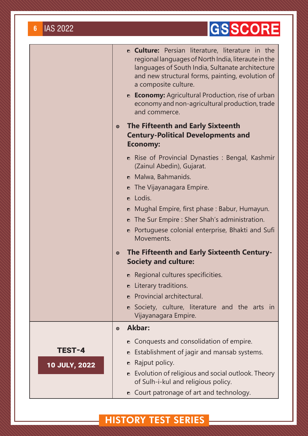## GSSCORE

|                                |         | <b>c Culture:</b> Persian literature, literature in the<br>regional languages of North India, literaute in the<br>languages of South India, Sultanate architecture<br>and new structural forms, painting, evolution of<br>a composite culture.<br><b>Economy:</b> Agricultural Production, rise of urban<br>economy and non-agricultural production, trade<br>and commerce. |
|--------------------------------|---------|-----------------------------------------------------------------------------------------------------------------------------------------------------------------------------------------------------------------------------------------------------------------------------------------------------------------------------------------------------------------------------|
|                                | $\odot$ | <b>The Fifteenth and Early Sixteenth</b><br><b>Century-Political Developments and</b><br><b>Economy:</b>                                                                                                                                                                                                                                                                    |
|                                |         | • Rise of Provincial Dynasties : Bengal, Kashmir<br>(Zainul Abedin), Gujarat.<br>• Malwa, Bahmanids.<br>$\bullet$ The Vijayanagara Empire.<br><b>n</b> Lodis.<br>• Mughal Empire, first phase: Babur, Humayun.<br>$\bullet$ The Sur Empire : Sher Shah's administration.<br>• Portuguese colonial enterprise, Bhakti and Sufi<br>Movements.                                 |
|                                | $\odot$ | The Fifteenth and Early Sixteenth Century-<br><b>Society and culture:</b>                                                                                                                                                                                                                                                                                                   |
|                                |         | Regional cultures specificities.<br><b>n</b> Literary traditions.<br><b>n</b> Provincial architectural.<br><b>•</b> Society, culture, literature and the arts in<br>Vijayanagara Empire.                                                                                                                                                                                    |
|                                | $\odot$ | <b>Akbar:</b>                                                                                                                                                                                                                                                                                                                                                               |
| TEST-4<br><b>10 JULY, 2022</b> |         | • Conquests and consolidation of empire.<br>Establishment of jagir and mansab systems.<br>$\blacksquare$<br>Rajput policy.<br>$\blacksquare$<br>$\bullet$ Evolution of religious and social outlook. Theory<br>of Sulh-i-kul and religious policy.<br>• Court patronage of art and technology.                                                                              |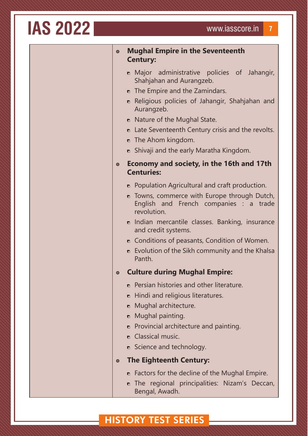| <b>IAS 2022</b> |
|-----------------|
|                 |

| $\odot$   | <b>Mughal Empire in the Seventeenth</b><br><b>Century:</b>                                            |  |
|-----------|-------------------------------------------------------------------------------------------------------|--|
|           | • Major administrative policies of Jahangir,<br>Shahjahan and Aurangzeb.                              |  |
|           | $\bullet$ The Empire and the Zamindars.                                                               |  |
|           | Religious policies of Jahangir, Shahjahan and<br>n.<br>Aurangzeb.                                     |  |
|           | • Nature of the Mughal State.                                                                         |  |
|           | • Late Seventeenth Century crisis and the revolts.                                                    |  |
|           | <b>n</b> The Ahom kingdom.                                                                            |  |
|           | <b>•</b> Shivaji and the early Maratha Kingdom.                                                       |  |
| $\bullet$ | Economy and society, in the 16th and 17th<br><b>Centuries:</b>                                        |  |
|           | • Population Agricultural and craft production.                                                       |  |
|           | n Towns, commerce with Europe through Dutch,<br>English and French companies : a trade<br>revolution. |  |
|           | n Indian mercantile classes. Banking, insurance<br>and credit systems.                                |  |
|           | • Conditions of peasants, Condition of Women.                                                         |  |
|           | $\bullet$ Evolution of the Sikh community and the Khalsa<br>Panth.                                    |  |
| $\bullet$ | <b>Culture during Mughal Empire:</b>                                                                  |  |
|           | Persian histories and other literature.<br>n.                                                         |  |
|           | Hindi and religious literatures.<br>n                                                                 |  |
|           | Mughal architecture.<br>$\bullet$                                                                     |  |
|           | Mughal painting.<br>$\bullet$                                                                         |  |
|           | Provincial architecture and painting.<br>n.                                                           |  |
|           | <b>n</b> Classical music.                                                                             |  |
|           | <b>n</b> Science and technology.                                                                      |  |
| $\bullet$ | <b>The Eighteenth Century:</b>                                                                        |  |
|           | • Factors for the decline of the Mughal Empire.                                                       |  |
|           | n The regional principalities: Nizam's Deccan,<br>Bengal, Awadh.                                      |  |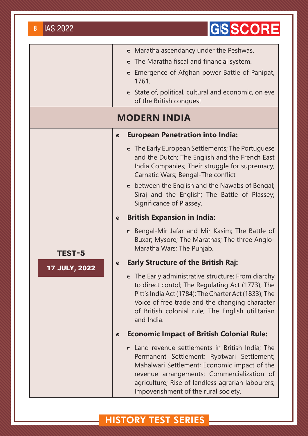| <b>IAS 2022</b><br>8 | <b>GSSCORE</b>                                                                                                                                                                                                                                                                                   |
|----------------------|--------------------------------------------------------------------------------------------------------------------------------------------------------------------------------------------------------------------------------------------------------------------------------------------------|
|                      | • Maratha ascendancy under the Peshwas.<br>$\bullet$ The Maratha fiscal and financial system.<br><b>•</b> Emergence of Afghan power Battle of Panipat,<br>1761.<br><b>n</b> State of, political, cultural and economic, on eve<br>of the British conquest.                                       |
|                      | <b>MODERN INDIA</b>                                                                                                                                                                                                                                                                              |
|                      | <b>European Penetration into India:</b><br>$\boldsymbol{\odot}$                                                                                                                                                                                                                                  |
|                      | • The Early European Settlements; The Portuguese<br>and the Dutch; The English and the French East<br>India Companies; Their struggle for supremacy;<br>Carnatic Wars; Bengal-The conflict<br>• between the English and the Nawabs of Bengal;                                                    |
|                      | Siraj and the English; The Battle of Plassey;<br>Significance of Plassey.                                                                                                                                                                                                                        |
|                      | <b>British Expansion in India:</b><br>$\odot$                                                                                                                                                                                                                                                    |
| TEST-5               | • Bengal-Mir Jafar and Mir Kasim; The Battle of<br>Buxar; Mysore; The Marathas; The three Anglo-<br>Maratha Wars; The Punjab.                                                                                                                                                                    |
| <b>17 JULY, 2022</b> | <b>Early Structure of the British Raj:</b><br>$\boldsymbol{\odot}$                                                                                                                                                                                                                               |
|                      | $\bullet$ The Early administrative structure; From diarchy<br>to direct contol; The Regulating Act (1773); The<br>Pitt's India Act (1784); The Charter Act (1833); The<br>Voice of free trade and the changing character<br>of British colonial rule; The English utilitarian<br>and India.      |
|                      | <b>Economic Impact of British Colonial Rule:</b><br>$\odot$                                                                                                                                                                                                                                      |
|                      | <b>n</b> Land revenue settlements in British India; The<br>Permanent Settlement; Ryotwari Settlement;<br>Mahalwari Settlement; Economic impact of the<br>revenue arrangements; Commercialization of<br>agriculture; Rise of landless agrarian labourers;<br>Impoverishment of the rural society. |

## **HISTORY TEST SERIES**

## **B** IAS 2022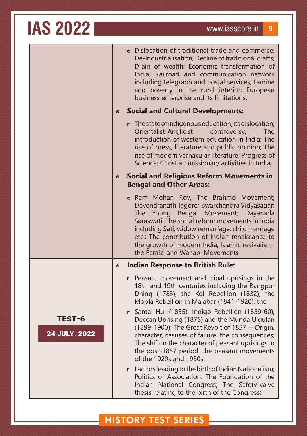|                                | $\odot$              | • Dislocation of traditional trade and commerce;<br>De-industrialisation; Decline of traditional crafts;<br>Drain of wealth; Economic transformation of<br>India; Railroad and communication network<br>including telegraph and postal services; Famine<br>and poverty in the rural interior; European<br>business enterprise and its limitations.<br><b>Social and Cultural Developments:</b>                                                                                                                                           |
|--------------------------------|----------------------|------------------------------------------------------------------------------------------------------------------------------------------------------------------------------------------------------------------------------------------------------------------------------------------------------------------------------------------------------------------------------------------------------------------------------------------------------------------------------------------------------------------------------------------|
|                                |                      | $\bullet$ The state of indigenous education, its dislocation;<br>Orientalist-Anglicist<br>controversy,<br><b>The</b><br>introduction of western education in India; The<br>rise of press, literature and public opinion; The<br>rise of modern vernacular literature; Progress of<br>Science; Christian missionary activities in India.                                                                                                                                                                                                  |
|                                | $\odot$              | <b>Social and Religious Reform Movements in</b><br><b>Bengal and Other Areas:</b>                                                                                                                                                                                                                                                                                                                                                                                                                                                        |
|                                |                      | <b>n</b> Ram Mohan Roy, The Brahmo Movement;<br>Devendranath Tagore; Iswarchandra Vidyasagar;<br>The Young Bengal Movement; Dayanada<br>Saraswati; The social reform movements in India<br>including Sati, widow remarriage, child marriage<br>etc.; The contribution of Indian renaissance to<br>the growth of modern India; Islamic revivalism-<br>the Feraizi and Wahabi Movements                                                                                                                                                    |
|                                | $\boldsymbol{\odot}$ | <b>Indian Response to British Rule:</b>                                                                                                                                                                                                                                                                                                                                                                                                                                                                                                  |
| <b>TEST-6</b><br>24 JULY, 2022 |                      | • Peasant movement and tribal uprisings in the<br>18th and 19th centuries including the Rangpur<br>Dhing (1783), the Kol Rebellion (1832), the<br>Mopla Rebellion in Malabar (1841-1920), the<br>• Santal Hul (1855), Indigo Rebellion (1859-60),<br>Deccan Uprising (1875) and the Munda Ulgulan<br>(1899-1900); The Great Revolt of 1857 - Origin,<br>character, casuses of failure, the consequences;<br>The shift in the character of peasant uprisings in<br>the post-1857 period; the peasant movements<br>of the 1920s and 1930s. |
|                                |                      | $\bullet$ Factors leading to the birth of Indian Nationalism;<br>Politics of Association; The Foundation of the<br>Indian National Congress; The Safety-valve<br>thesis relating to the birth of the Congress;                                                                                                                                                                                                                                                                                                                           |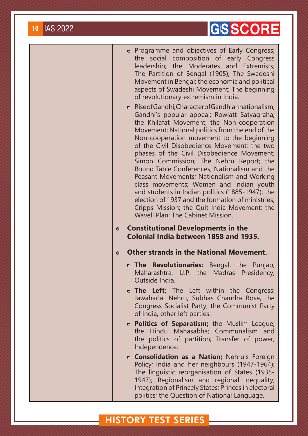## **GSSCORE**

- **n** Programme and objectives of Early Congress; the social composition of early Congress leadership; the Moderates and Extremists; The Partition of Bengal (1905); The Swadeshi Movement in Bengal; the economic and political aspects of Swadeshi Movement; The beginning of revolutionary extremism in India.
- **B.** Rise of Gandhi: Character of Gandhian nationalism: Gandhi's popular appeal; Rowlatt Satyagraha; the Khilafat Movement; the Non-cooperation Movement; National politics from the end of the Non-cooperation movement to the beginning of the Civil Disobedience Movement; the two phases of the Civil Disobedience Movement; Simon Commission; The Nehru Report; the Round Table Conferences; Nationalism and the Peasant Movements; Nationalism and Working class movements; Women and Indian youth and students in Indian politics (1885-1947); the election of 1937 and the formation of ministries; Cripps Mission; the Quit India Movement; the Wavell Plan; The Cabinet Mission.
- **Constitutional Developments in the Colonial India between 1858 and 1935.**
- **Other strands in the National Movement.**
	- **The Revolutionaries:** Bengal, the Punjab, Maharashtra, U.P. the Madras Presidency, Outside India.
	- **The Left;** The Left within the Congress: Jawaharlal Nehru, Subhas Chandra Bose, the Congress Socialist Party; the Communist Party of India, other left parties.
	- **Politics of Separatism;** the Muslim League; the Hindu Mahasabha; Communalism and the politics of partition; Transfer of power; Independence.
	- **Consolidation as a Nation;** Nehru's Foreign Policy; India and her neighbours (1947-1964); The linguistic reorganisation of States (1935- 1947); Regionalism and regional inequality; Integration of Princely States; Princes in electoral politics; the Question of National Language.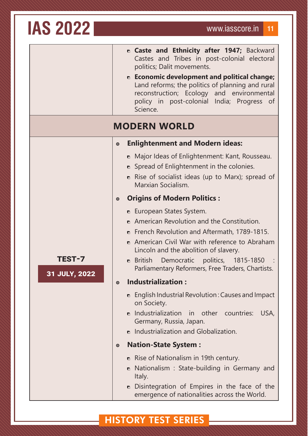**TEST-7**

**31 JULY, 2022**

|  |                            |  | n Caste and Ethnicity after 1947; Backward   |
|--|----------------------------|--|----------------------------------------------|
|  |                            |  | Castes and Tribes in post-colonial electoral |
|  | politics; Dalit movements. |  |                                              |

 **Economic development and political change;** Land reforms; the politics of planning and rural reconstruction; Ecology and environmental policy in post-colonial India; Progress of Science.

#### **MODERN WORLD**

#### **Enlightenment and Modern ideas:**

- **n** Major Ideas of Enlightenment: Kant, Rousseau.
- $\bullet$  Spread of Enlightenment in the colonies.
- $\bullet$  Rise of socialist ideas (up to Marx); spread of Marxian Socialism.

#### **Origins of Modern Politics :**

- **European States System.**
- **American Revolution and the Constitution.**
- **E** French Revolution and Aftermath, 1789-1815.
- American Civil War with reference to Abraham Lincoln and the abolition of slavery.
- **British Democratic politics, 1815-1850** Parliamentary Reformers, Free Traders, Chartists.

#### **Industrialization :**

- $\bullet$  English Industrial Revolution : Causes and Impact on Society.
- **n** Industrialization in other countries: USA, Germany, Russia, Japan.
- n Industrialization and Globalization.

#### **Nation-State System :**

- Rise of Nationalism in 19th century.
- Nationalism : State-building in Germany and Italy.
- Disintegration of Empires in the face of the emergence of nationalities across the World.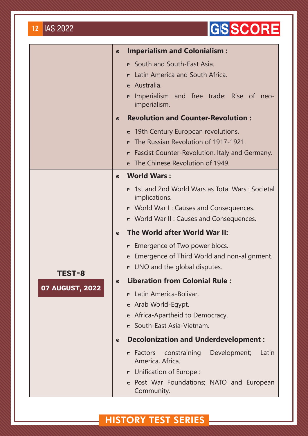## GSSCORE

|                        | $\odot$ | <b>Imperialism and Colonialism:</b>                                    |
|------------------------|---------|------------------------------------------------------------------------|
|                        |         | • South and South-East Asia.                                           |
|                        |         | <b>n</b> Latin America and South Africa.                               |
|                        |         | <b>n</b> Australia.                                                    |
|                        |         | Imperialism and free trade: Rise of neo-<br>$\bullet$<br>imperialism.  |
|                        | $\odot$ | <b>Revolution and Counter-Revolution:</b>                              |
|                        |         | <b>n</b> 19th Century European revolutions.                            |
|                        |         | <b>n</b> The Russian Revolution of 1917-1921.                          |
|                        |         | • Fascist Counter-Revolution, Italy and Germany.                       |
|                        |         | <b>n</b> The Chinese Revolution of 1949.                               |
|                        | $\odot$ | <b>World Wars:</b>                                                     |
|                        |         | • 1st and 2nd World Wars as Total Wars: Societal<br>implications.      |
|                        |         | • World War I: Causes and Consequences.                                |
|                        |         | • World War II: Causes and Consequences.                               |
|                        | $\odot$ | The World after World War II:                                          |
|                        |         | <b>E</b> Emergence of Two power blocs.                                 |
|                        |         | Emergence of Third World and non-alignment.<br>$\blacksquare$          |
| TEST-8                 |         | UNO and the global disputes.<br>$\bullet$                              |
|                        | $\odot$ | <b>Liberation from Colonial Rule:</b>                                  |
| <b>07 AUGUST, 2022</b> |         | <b>n</b> Latin America-Bolivar.                                        |
|                        |         | n Arab World-Egypt.                                                    |
|                        |         | Africa-Apartheid to Democracy.                                         |
|                        |         | • South-East Asia-Vietnam.                                             |
|                        | $\odot$ | <b>Decolonization and Underdevelopment:</b>                            |
|                        |         | Development;<br>constraining<br>Latin<br>• Factors<br>America, Africa. |
|                        |         | <b>n</b> Unification of Europe:                                        |
|                        |         | • Post War Foundations; NATO and European<br>Community.                |

## **HISTORY TEST SERIES**